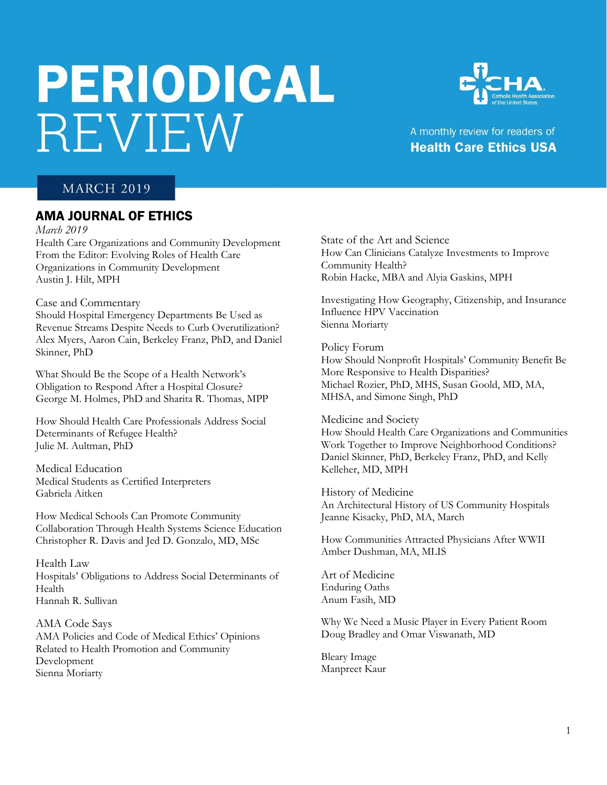# **PERIODICAL REVIEW**



## A monthly review for readers of **Health Care Ethics USA**

## **MARCH 2019**

## AMA JOURNAL OF ETHICS

*March 2019*

Health Care Organizations and Community Development From the Editor: Evolving Roles of Health Care Organizations in Community Development Austin J. Hilt, MPH

#### Case and Commentary

Should Hospital Emergency Departments Be Used as Revenue Streams Despite Needs to Curb Overutilization? Alex Myers, Aaron Cain, Berkeley Franz, PhD, and Daniel Skinner, PhD

What Should Be the Scope of a Health Network's Obligation to Respond After a Hospital Closure? George M. Holmes, PhD and Sharita R. Thomas, MPP

How Should Health Care Professionals Address Social Determinants of Refugee Health? Julie M. Aultman, PhD

Medical Education Medical Students as Certified Interpreters Gabriela Aitken

How Medical Schools Can Promote Community Collaboration Through Health Systems Science Education Christopher R. Davis and Jed D. Gonzalo, MD, MSc

Health Law Hospitals' Obligations to Address Social Determinants of Health Hannah R. Sullivan

AMA Code Says AMA Policies and Code of Medical Ethics' Opinions Related to Health Promotion and Community Development Sienna Moriarty

State of the Art and Science How Can Clinicians Catalyze Investments to Improve Community Health? Robin Hacke, MBA and Alyia Gaskins, MPH

Investigating How Geography, Citizenship, and Insurance Influence HPV Vaccination Sienna Moriarty

Policy Forum How Should Nonprofit Hospitals' Community Benefit Be More Responsive to Health Disparities? Michael Rozier, PhD, MHS, Susan Goold, MD, MA, MHSA, and Simone Singh, PhD

Medicine and Society How Should Health Care Organizations and Communities Work Together to Improve Neighborhood Conditions? Daniel Skinner, PhD, Berkeley Franz, PhD, and Kelly Kelleher, MD, MPH

History of Medicine An Architectural History of US Community Hospitals Jeanne Kisacky, PhD, MA, March

How Communities Attracted Physicians After WWII Amber Dushman, MA, MLIS

Art of Medicine Enduring Oaths Anum Fasih, MD

Why We Need a Music Player in Every Patient Room Doug Bradley and Omar Viswanath, MD

Bleary Image Manpreet Kaur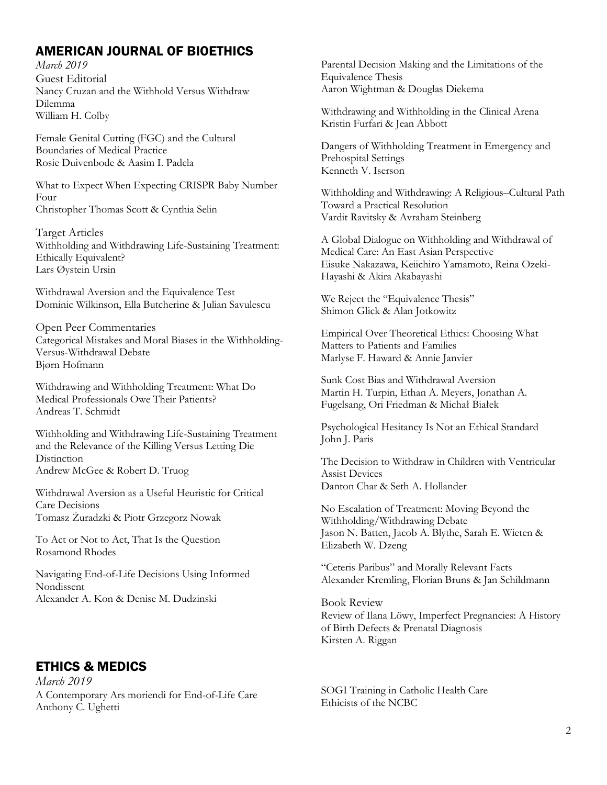## AMERICAN JOURNAL OF BIOETHICS

*March 2019* Guest Editorial Nancy Cruzan and the Withhold Versus Withdraw Dilemma William H. Colby

Female Genital Cutting (FGC) and the Cultural Boundaries of Medical Practice Rosie Duivenbode & Aasim I. Padela

What to Expect When Expecting CRISPR Baby Number Four Christopher Thomas Scott & Cynthia Selin

Target Articles Withholding and Withdrawing Life-Sustaining Treatment: Ethically Equivalent? Lars Øystein Ursin

Withdrawal Aversion and the Equivalence Test Dominic Wilkinson, Ella Butcherine & Julian Savulescu

Open Peer Commentaries Categorical Mistakes and Moral Biases in the Withholding-Versus-Withdrawal Debate Bjørn Hofmann

Withdrawing and Withholding Treatment: What Do Medical Professionals Owe Their Patients? Andreas T. Schmidt

Withholding and Withdrawing Life-Sustaining Treatment and the Relevance of the Killing Versus Letting Die **Distinction** Andrew McGee & Robert D. Truog

Withdrawal Aversion as a Useful Heuristic for Critical Care Decisions Tomasz Żuradzki & Piotr Grzegorz Nowak

To Act or Not to Act, That Is the Question Rosamond Rhodes

Navigating End-of-Life Decisions Using Informed Nondissent Alexander A. Kon & Denise M. Dudzinski

## ETHICS & MEDICS

*March 2019* A Contemporary Ars moriendi for End-of-Life Care Anthony C. Ughetti

Parental Decision Making and the Limitations of the Equivalence Thesis Aaron Wightman & Douglas Diekema

Withdrawing and Withholding in the Clinical Arena Kristin Furfari & Jean Abbott

Dangers of Withholding Treatment in Emergency and Prehospital Settings Kenneth V. Iserson

Withholding and Withdrawing: A Religious–Cultural Path Toward a Practical Resolution Vardit Ravitsky & Avraham Steinberg

A Global Dialogue on Withholding and Withdrawal of Medical Care: An East Asian Perspective Eisuke Nakazawa, Keiichiro Yamamoto, Reina Ozeki-Hayashi & Akira Akabayashi

We Reject the "Equivalence Thesis" Shimon Glick & Alan Jotkowitz

Empirical Over Theoretical Ethics: Choosing What Matters to Patients and Families Marlyse F. Haward & Annie Janvier

Sunk Cost Bias and Withdrawal Aversion Martin H. Turpin, Ethan A. Meyers, Jonathan A. Fugelsang, Ori Friedman & Michał Białek

Psychological Hesitancy Is Not an Ethical Standard John J. Paris

The Decision to Withdraw in Children with Ventricular Assist Devices Danton Char & Seth A. Hollander

No Escalation of Treatment: Moving Beyond the Withholding/Withdrawing Debate Jason N. Batten, Jacob A. Blythe, Sarah E. Wieten & Elizabeth W. Dzeng

"Ceteris Paribus" and Morally Relevant Facts Alexander Kremling, Florian Bruns & Jan Schildmann

Book Review Review of Ilana Löwy, Imperfect Pregnancies: A History of Birth Defects & Prenatal Diagnosis Kirsten A. Riggan

SOGI Training in Catholic Health Care Ethicists of the NCBC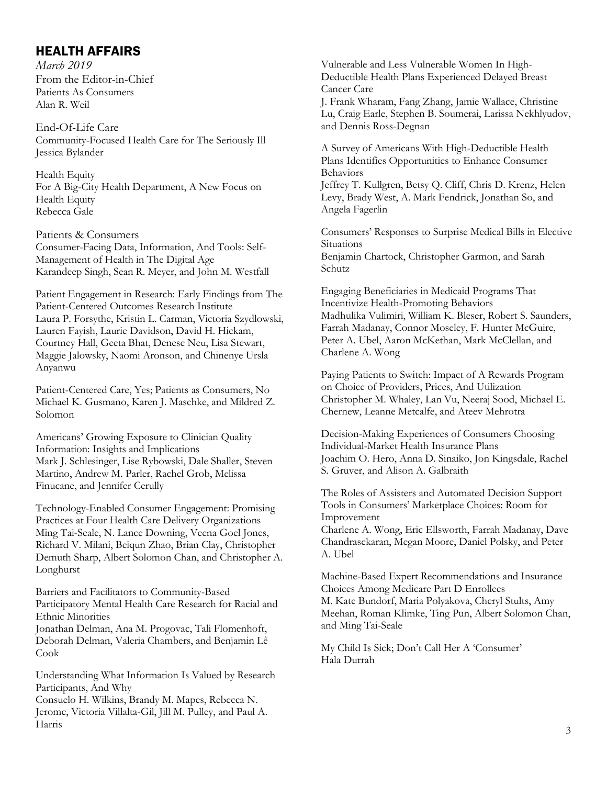## HEALTH AFFAIRS

*March 2019*  From the Editor-in-Chief Patients As Consumers Alan R. Weil

End-Of-Life Care Community-Focused Health Care for The Seriously Ill Jessica Bylander

Health Equity For A Big-City Health Department, A New Focus on Health Equity Rebecca Gale

Patients & Consumers Consumer-Facing Data, Information, And Tools: Self-Management of Health in The Digital Age Karandeep Singh, Sean R. Meyer, and John M. Westfall

Patient Engagement in Research: Early Findings from The Patient-Centered Outcomes Research Institute Laura P. Forsythe, Kristin L. Carman, Victoria Szydlowski, Lauren Fayish, Laurie Davidson, David H. Hickam, Courtney Hall, Geeta Bhat, Denese Neu, Lisa Stewart, Maggie Jalowsky, Naomi Aronson, and Chinenye Ursla Anyanwu

Patient-Centered Care, Yes; Patients as Consumers, No Michael K. Gusmano, Karen J. Maschke, and Mildred Z. Solomon

Americans' Growing Exposure to Clinician Quality Information: Insights and Implications Mark J. Schlesinger, Lise Rybowski, Dale Shaller, Steven Martino, Andrew M. Parler, Rachel Grob, Melissa Finucane, and Jennifer Cerully

Technology-Enabled Consumer Engagement: Promising Practices at Four Health Care Delivery Organizations Ming Tai-Seale, N. Lance Downing, Veena Goel Jones, Richard V. Milani, Beiqun Zhao, Brian Clay, Christopher Demuth Sharp, Albert Solomon Chan, and Christopher A. Longhurst

Barriers and Facilitators to Community-Based Participatory Mental Health Care Research for Racial and Ethnic Minorities Jonathan Delman, Ana M. Progovac, Tali Flomenhoft, Deborah Delman, Valeria Chambers, and Benjamin Lê Cook

Understanding What Information Is Valued by Research Participants, And Why

Consuelo H. Wilkins, Brandy M. Mapes, Rebecca N. Jerome, Victoria Villalta-Gil, Jill M. Pulley, and Paul A. Harris

Vulnerable and Less Vulnerable Women In High-Deductible Health Plans Experienced Delayed Breast Cancer Care J. Frank Wharam, Fang Zhang, Jamie Wallace, Christine Lu, Craig Earle, Stephen B. Soumerai, Larissa Nekhlyudov, and Dennis Ross-Degnan

A Survey of Americans With High-Deductible Health Plans Identifies Opportunities to Enhance Consumer Behaviors Jeffrey T. Kullgren, Betsy Q. Cliff, Chris D. Krenz, Helen Levy, Brady West, A. Mark Fendrick, Jonathan So, and Angela Fagerlin

Consumers' Responses to Surprise Medical Bills in Elective Situations Benjamin Chartock, Christopher Garmon, and Sarah Schutz

Engaging Beneficiaries in Medicaid Programs That Incentivize Health-Promoting Behaviors Madhulika Vulimiri, William K. Bleser, Robert S. Saunders, Farrah Madanay, Connor Moseley, F. Hunter McGuire, Peter A. Ubel, Aaron McKethan, Mark McClellan, and Charlene A. Wong

Paying Patients to Switch: Impact of A Rewards Program on Choice of Providers, Prices, And Utilization Christopher M. Whaley, Lan Vu, Neeraj Sood, Michael E. Chernew, Leanne Metcalfe, and Ateev Mehrotra

Decision-Making Experiences of Consumers Choosing Individual-Market Health Insurance Plans Joachim O. Hero, Anna D. Sinaiko, Jon Kingsdale, Rachel S. Gruver, and Alison A. Galbraith

The Roles of Assisters and Automated Decision Support Tools in Consumers' Marketplace Choices: Room for Improvement

Charlene A. Wong, Eric Ellsworth, Farrah Madanay, Dave Chandrasekaran, Megan Moore, Daniel Polsky, and Peter A. Ubel

Machine-Based Expert Recommendations and Insurance Choices Among Medicare Part D Enrollees M. Kate Bundorf, Maria Polyakova, Cheryl Stults, Amy Meehan, Roman Klimke, Ting Pun, Albert Solomon Chan, and Ming Tai-Seale

My Child Is Sick; Don't Call Her A 'Consumer' Hala Durrah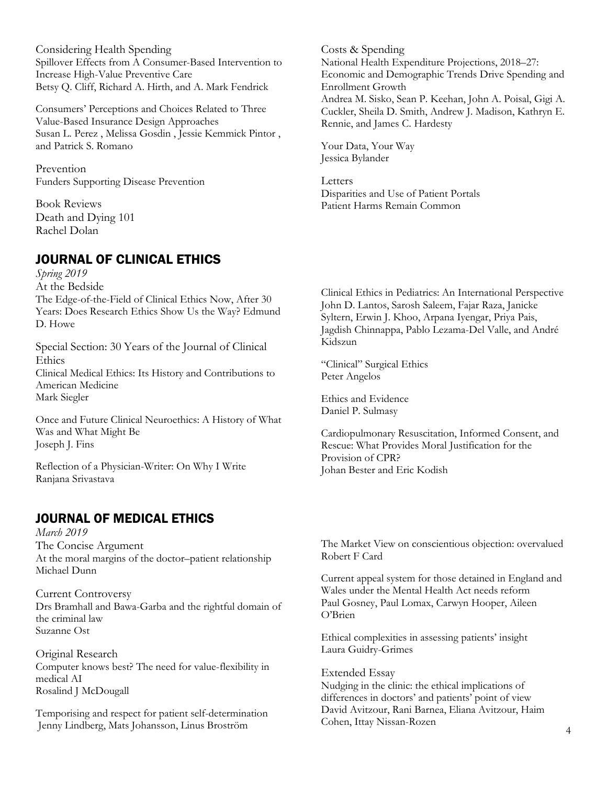Considering Health Spending Spillover Effects from A Consumer-Based Intervention to Increase High-Value Preventive Care Betsy Q. Cliff, Richard A. Hirth, and A. Mark Fendrick

Consumers' Perceptions and Choices Related to Three Value-Based Insurance Design Approaches Susan L. Perez , Melissa Gosdin , Jessie Kemmick Pintor , and Patrick S. Romano

Prevention Funders Supporting Disease Prevention

Book Reviews Death and Dying 101 Rachel Dolan

## JOURNAL OF CLINICAL ETHICS

*Spring 2019*  At the Bedside The Edge-of-the-Field of Clinical Ethics Now, After 30 Years: Does Research Ethics Show Us the Way? Edmund D. Howe

Special Section: 30 Years of the Journal of Clinical **Ethics** Clinical Medical Ethics: Its History and Contributions to American Medicine Mark Siegler

Once and Future Clinical Neuroethics: A History of What Was and What Might Be Joseph J. Fins

Reflection of a Physician-Writer: On Why I Write Ranjana Srivastava

## JOURNAL OF MEDICAL ETHICS

*March 2019*  The Concise Argument At the moral margins of the doctor–patient relationship Michael Dunn

Current Controversy Drs Bramhall and Bawa-Garba and the rightful domain of the criminal law Suzanne Ost

Original Research Computer knows best? The need for value-flexibility in medical AI Rosalind J McDougall

Temporising and respect for patient self-determination Jenny Lindberg, Mats Johansson, Linus Broström

Costs & Spending National Health Expenditure Projections, 2018–27: Economic and Demographic Trends Drive Spending and Enrollment Growth Andrea M. Sisko, Sean P. Keehan, John A. Poisal, Gigi A. Cuckler, Sheila D. Smith, Andrew J. Madison, Kathryn E. Rennie, and James C. Hardesty

Your Data, Your Way Jessica Bylander

Letters Disparities and Use of Patient Portals Patient Harms Remain Common

Clinical Ethics in Pediatrics: An International Perspective John D. Lantos, Sarosh Saleem, Fajar Raza, Janicke Syltern, Erwin J. Khoo, Arpana Iyengar, Priya Pais, Jagdish Chinnappa, Pablo Lezama-Del Valle, and André Kidszun

"Clinical" Surgical Ethics Peter Angelos

Ethics and Evidence Daniel P. Sulmasy

Cardiopulmonary Resuscitation, Informed Consent, and Rescue: What Provides Moral Justification for the Provision of CPR? Johan Bester and Eric Kodish

The Market View on conscientious objection: overvalued Robert F Card

Current appeal system for those detained in England and Wales under the Mental Health Act needs reform Paul Gosney, Paul Lomax, Carwyn Hooper, Aileen O'Brien

Ethical complexities in assessing patients' insight Laura Guidry-Grimes

Extended Essay Nudging in the clinic: the ethical implications of differences in doctors' and patients' point of view David Avitzour, Rani Barnea, Eliana Avitzour, Haim Cohen, Ittay Nissan-Rozen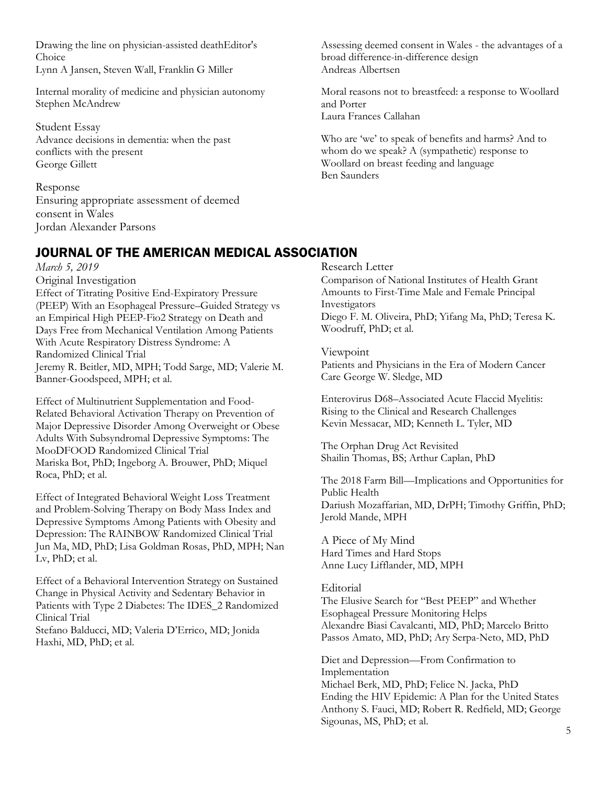Drawing the line on physician-assisted deathEditor's Choice

Lynn A Jansen, Steven Wall, Franklin G Miller

Internal morality of medicine and physician autonomy Stephen McAndrew

Student Essay Advance decisions in dementia: when the past conflicts with the present George Gillett

Response Ensuring appropriate assessment of deemed consent in Wales Jordan Alexander Parsons

*March 5, 2019* 

Original Investigation

Effect of Titrating Positive End-Expiratory Pressure (PEEP) With an Esophageal Pressure–Guided Strategy vs an Empirical High PEEP-Fio2 Strategy on Death and Days Free from Mechanical Ventilation Among Patients With Acute Respiratory Distress Syndrome: A Randomized Clinical Trial Jeremy R. Beitler, MD, MPH; Todd Sarge, MD; Valerie M. Banner-Goodspeed, MPH; et al.

Effect of Multinutrient Supplementation and Food-Related Behavioral Activation Therapy on Prevention of Major Depressive Disorder Among Overweight or Obese Adults With Subsyndromal Depressive Symptoms: The MooDFOOD Randomized Clinical Trial Mariska Bot, PhD; Ingeborg A. Brouwer, PhD; Miquel Roca, PhD; et al.

Effect of Integrated Behavioral Weight Loss Treatment and Problem-Solving Therapy on Body Mass Index and Depressive Symptoms Among Patients with Obesity and Depression: The RAINBOW Randomized Clinical Trial Jun Ma, MD, PhD; Lisa Goldman Rosas, PhD, MPH; Nan Lv, PhD; et al.

Effect of a Behavioral Intervention Strategy on Sustained Change in Physical Activity and Sedentary Behavior in Patients with Type 2 Diabetes: The IDES\_2 Randomized Clinical Trial

Stefano Balducci, MD; Valeria D'Errico, MD; Jonida Haxhi, MD, PhD; et al.

Assessing deemed consent in Wales - the advantages of a broad difference-in-difference design Andreas Albertsen

Moral reasons not to breastfeed: a response to Woollard and Porter Laura Frances Callahan

Who are 'we' to speak of benefits and harms? And to whom do we speak? A (sympathetic) response to Woollard on breast feeding and language Ben Saunders

# JOURNAL OF THE AMERICAN MEDICAL ASSOCIATION

Research Letter Comparison of National Institutes of Health Grant Amounts to First-Time Male and Female Principal Investigators Diego F. M. Oliveira, PhD; Yifang Ma, PhD; Teresa K. Woodruff, PhD; et al.

Viewpoint

Patients and Physicians in the Era of Modern Cancer Care George W. Sledge, MD

Enterovirus D68–Associated Acute Flaccid Myelitis: Rising to the Clinical and Research Challenges Kevin Messacar, MD; Kenneth L. Tyler, MD

The Orphan Drug Act Revisited Shailin Thomas, BS; Arthur Caplan, PhD

The 2018 Farm Bill—Implications and Opportunities for Public Health Dariush Mozaffarian, MD, DrPH; Timothy Griffin, PhD; Jerold Mande, MPH

A Piece of My Mind Hard Times and Hard Stops Anne Lucy Lifflander, MD, MPH

Editorial

The Elusive Search for "Best PEEP" and Whether Esophageal Pressure Monitoring Helps Alexandre Biasi Cavalcanti, MD, PhD; Marcelo Britto Passos Amato, MD, PhD; Ary Serpa-Neto, MD, PhD

Diet and Depression—From Confirmation to Implementation Michael Berk, MD, PhD; Felice N. Jacka, PhD Ending the HIV Epidemic: A Plan for the United States Anthony S. Fauci, MD; Robert R. Redfield, MD; George Sigounas, MS, PhD; et al.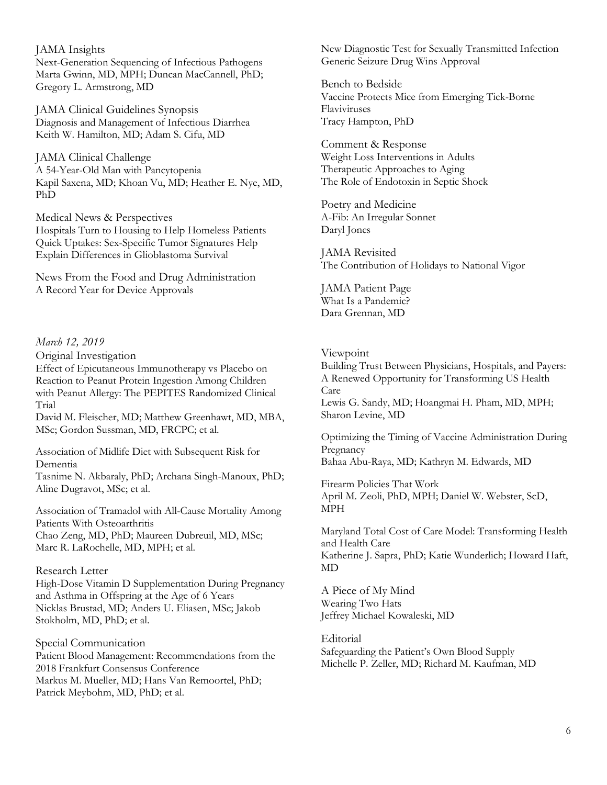JAMA Insights Next-Generation Sequencing of Infectious Pathogens Marta Gwinn, MD, MPH; Duncan MacCannell, PhD; Gregory L. Armstrong, MD

JAMA Clinical Guidelines Synopsis Diagnosis and Management of Infectious Diarrhea Keith W. Hamilton, MD; Adam S. Cifu, MD

JAMA Clinical Challenge A 54-Year-Old Man with Pancytopenia Kapil Saxena, MD; Khoan Vu, MD; Heather E. Nye, MD, PhD

Medical News & Perspectives Hospitals Turn to Housing to Help Homeless Patients Quick Uptakes: Sex-Specific Tumor Signatures Help Explain Differences in Glioblastoma Survival

News From the Food and Drug Administration A Record Year for Device Approvals

#### *March 12, 2019*

Original Investigation

Effect of Epicutaneous Immunotherapy vs Placebo on Reaction to Peanut Protein Ingestion Among Children with Peanut Allergy: The PEPITES Randomized Clinical Trial

David M. Fleischer, MD; Matthew Greenhawt, MD, MBA, MSc; Gordon Sussman, MD, FRCPC; et al.

Association of Midlife Diet with Subsequent Risk for Dementia

Tasnime N. Akbaraly, PhD; Archana Singh-Manoux, PhD; Aline Dugravot, MSc; et al.

Association of Tramadol with All-Cause Mortality Among Patients With Osteoarthritis Chao Zeng, MD, PhD; Maureen Dubreuil, MD, MSc; Marc R. LaRochelle, MD, MPH; et al.

#### Research Letter

High-Dose Vitamin D Supplementation During Pregnancy and Asthma in Offspring at the Age of 6 Years Nicklas Brustad, MD; Anders U. Eliasen, MSc; Jakob Stokholm, MD, PhD; et al.

Special Communication Patient Blood Management: Recommendations from the 2018 Frankfurt Consensus Conference Markus M. Mueller, MD; Hans Van Remoortel, PhD; Patrick Meybohm, MD, PhD; et al.

New Diagnostic Test for Sexually Transmitted Infection Generic Seizure Drug Wins Approval

Bench to Bedside Vaccine Protects Mice from Emerging Tick-Borne Flaviviruses Tracy Hampton, PhD

Comment & Response Weight Loss Interventions in Adults Therapeutic Approaches to Aging The Role of Endotoxin in Septic Shock

Poetry and Medicine A-Fib: An Irregular Sonnet Daryl Jones

JAMA Revisited The Contribution of Holidays to National Vigor

JAMA Patient Page What Is a Pandemic? Dara Grennan, MD

## Viewpoint

Building Trust Between Physicians, Hospitals, and Payers: A Renewed Opportunity for Transforming US Health Care Lewis G. Sandy, MD; Hoangmai H. Pham, MD, MPH; Sharon Levine, MD

Optimizing the Timing of Vaccine Administration During Pregnancy Bahaa Abu-Raya, MD; Kathryn M. Edwards, MD

Firearm Policies That Work April M. Zeoli, PhD, MPH; Daniel W. Webster, ScD, MPH

Maryland Total Cost of Care Model: Transforming Health and Health Care Katherine J. Sapra, PhD; Katie Wunderlich; Howard Haft, MD

A Piece of My Mind Wearing Two Hats Jeffrey Michael Kowaleski, MD

Editorial Safeguarding the Patient's Own Blood Supply Michelle P. Zeller, MD; Richard M. Kaufman, MD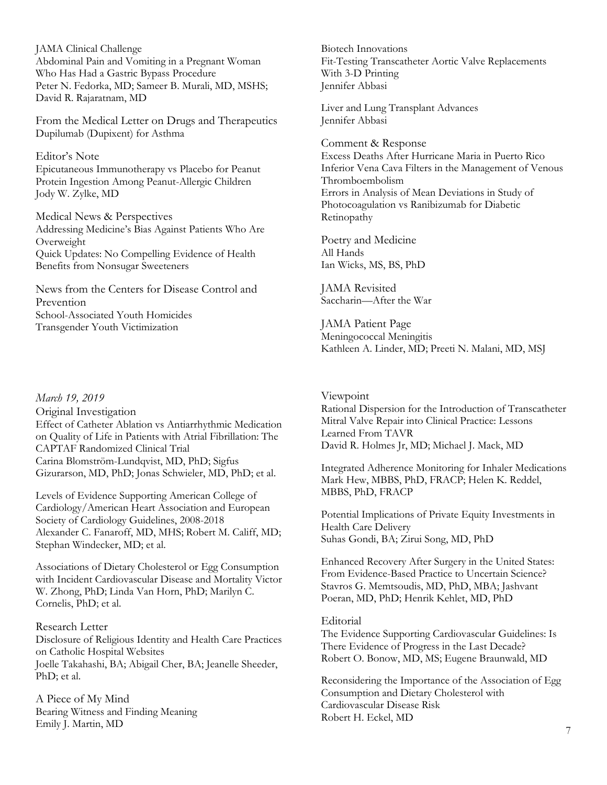JAMA Clinical Challenge Abdominal Pain and Vomiting in a Pregnant Woman Who Has Had a Gastric Bypass Procedure Peter N. Fedorka, MD; Sameer B. Murali, MD, MSHS; David R. Rajaratnam, MD

From the Medical Letter on Drugs and Therapeutics Dupilumab (Dupixent) for Asthma

#### Editor's Note

Epicutaneous Immunotherapy vs Placebo for Peanut Protein Ingestion Among Peanut-Allergic Children Jody W. Zylke, MD

Medical News & Perspectives Addressing Medicine's Bias Against Patients Who Are Overweight Quick Updates: No Compelling Evidence of Health Benefits from Nonsugar Sweeteners

News from the Centers for Disease Control and Prevention School-Associated Youth Homicides Transgender Youth Victimization

#### *March 19, 2019*

Original Investigation Effect of Catheter Ablation vs Antiarrhythmic Medication on Quality of Life in Patients with Atrial Fibrillation: The CAPTAF Randomized Clinical Trial Carina Blomström-Lundqvist, MD, PhD; Sigfus Gizurarson, MD, PhD; Jonas Schwieler, MD, PhD; et al.

Levels of Evidence Supporting American College of Cardiology/American Heart Association and European Society of Cardiology Guidelines, 2008-2018 Alexander C. Fanaroff, MD, MHS; Robert M. Califf, MD; Stephan Windecker, MD; et al.

Associations of Dietary Cholesterol or Egg Consumption with Incident Cardiovascular Disease and Mortality Victor W. Zhong, PhD; Linda Van Horn, PhD; Marilyn C. Cornelis, PhD; et al.

#### Research Letter

Disclosure of Religious Identity and Health Care Practices on Catholic Hospital Websites Joelle Takahashi, BA; Abigail Cher, BA; Jeanelle Sheeder, PhD; et al.

A Piece of My Mind Bearing Witness and Finding Meaning Emily J. Martin, MD

Biotech Innovations Fit-Testing Transcatheter Aortic Valve Replacements With 3-D Printing Jennifer Abbasi

Liver and Lung Transplant Advances Jennifer Abbasi

Comment & Response

Excess Deaths After Hurricane Maria in Puerto Rico Inferior Vena Cava Filters in the Management of Venous Thromboembolism Errors in Analysis of Mean Deviations in Study of Photocoagulation vs Ranibizumab for Diabetic Retinopathy

Poetry and Medicine All Hands Ian Wicks, MS, BS, PhD

JAMA Revisited Saccharin—After the War

JAMA Patient Page Meningococcal Meningitis Kathleen A. Linder, MD; Preeti N. Malani, MD, MSJ

#### Viewpoint

Rational Dispersion for the Introduction of Transcatheter Mitral Valve Repair into Clinical Practice: Lessons Learned From TAVR David R. Holmes Jr, MD; Michael J. Mack, MD

Integrated Adherence Monitoring for Inhaler Medications Mark Hew, MBBS, PhD, FRACP; Helen K. Reddel, MBBS, PhD, FRACP

Potential Implications of Private Equity Investments in Health Care Delivery Suhas Gondi, BA; Zirui Song, MD, PhD

Enhanced Recovery After Surgery in the United States: From Evidence-Based Practice to Uncertain Science? Stavros G. Memtsoudis, MD, PhD, MBA; Jashvant Poeran, MD, PhD; Henrik Kehlet, MD, PhD

#### **Editorial**

The Evidence Supporting Cardiovascular Guidelines: Is There Evidence of Progress in the Last Decade? Robert O. Bonow, MD, MS; Eugene Braunwald, MD

Reconsidering the Importance of the Association of Egg Consumption and Dietary Cholesterol with Cardiovascular Disease Risk Robert H. Eckel, MD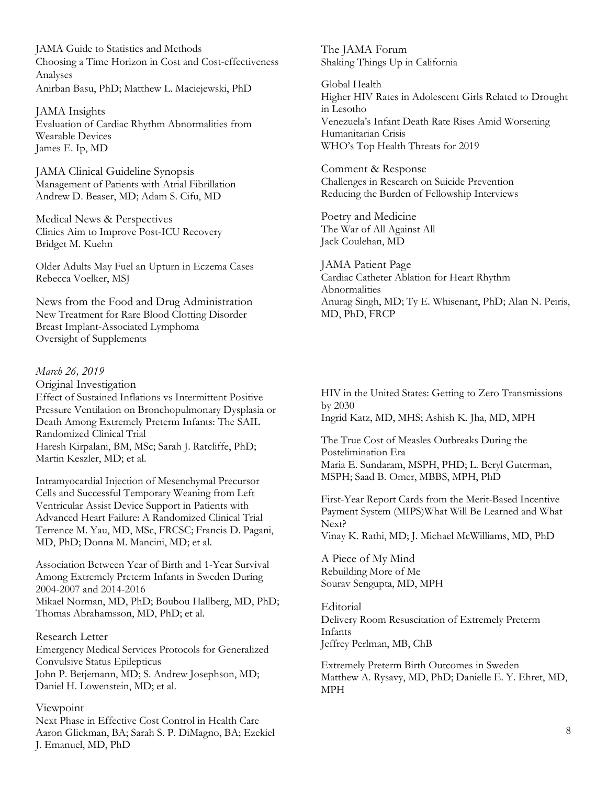JAMA Guide to Statistics and Methods Choosing a Time Horizon in Cost and Cost-effectiveness Analyses Anirban Basu, PhD; Matthew L. Maciejewski, PhD

JAMA Insights Evaluation of Cardiac Rhythm Abnormalities from Wearable Devices James E. Ip, MD

JAMA Clinical Guideline Synopsis Management of Patients with Atrial Fibrillation Andrew D. Beaser, MD; Adam S. Cifu, MD

Medical News & Perspectives Clinics Aim to Improve Post-ICU Recovery Bridget M. Kuehn

Older Adults May Fuel an Upturn in Eczema Cases Rebecca Voelker, MSJ

News from the Food and Drug Administration New Treatment for Rare Blood Clotting Disorder Breast Implant-Associated Lymphoma Oversight of Supplements

#### *March 26, 2019*

Original Investigation Effect of Sustained Inflations vs Intermittent Positive Pressure Ventilation on Bronchopulmonary Dysplasia or Death Among Extremely Preterm Infants: The SAIL Randomized Clinical Trial Haresh Kirpalani, BM, MSc; Sarah J. Ratcliffe, PhD; Martin Keszler, MD; et al.

Intramyocardial Injection of Mesenchymal Precursor Cells and Successful Temporary Weaning from Left Ventricular Assist Device Support in Patients with Advanced Heart Failure: A Randomized Clinical Trial Terrence M. Yau, MD, MSc, FRCSC; Francis D. Pagani, MD, PhD; Donna M. Mancini, MD; et al.

Association Between Year of Birth and 1-Year Survival Among Extremely Preterm Infants in Sweden During 2004-2007 and 2014-2016 Mikael Norman, MD, PhD; Boubou Hallberg, MD, PhD; Thomas Abrahamsson, MD, PhD; et al.

#### Research Letter

Emergency Medical Services Protocols for Generalized Convulsive Status Epilepticus John P. Betjemann, MD; S. Andrew Josephson, MD; Daniel H. Lowenstein, MD; et al.

#### Viewpoint

Next Phase in Effective Cost Control in Health Care Aaron Glickman, BA; Sarah S. P. DiMagno, BA; Ezekiel J. Emanuel, MD, PhD

The JAMA Forum Shaking Things Up in California

Global Health Higher HIV Rates in Adolescent Girls Related to Drought in Lesotho Venezuela's Infant Death Rate Rises Amid Worsening Humanitarian Crisis WHO's Top Health Threats for 2019

Comment & Response Challenges in Research on Suicide Prevention Reducing the Burden of Fellowship Interviews

Poetry and Medicine The War of All Against All Jack Coulehan, MD

JAMA Patient Page Cardiac Catheter Ablation for Heart Rhythm Abnormalities Anurag Singh, MD; Ty E. Whisenant, PhD; Alan N. Peiris, MD, PhD, FRCP

HIV in the United States: Getting to Zero Transmissions by 2030 Ingrid Katz, MD, MHS; Ashish K. Jha, MD, MPH

The True Cost of Measles Outbreaks During the Postelimination Era Maria E. Sundaram, MSPH, PHD; L. Beryl Guterman, MSPH; Saad B. Omer, MBBS, MPH, PhD

First-Year Report Cards from the Merit-Based Incentive Payment System (MIPS)What Will Be Learned and What Next? Vinay K. Rathi, MD; J. Michael McWilliams, MD, PhD

A Piece of My Mind Rebuilding More of Me Sourav Sengupta, MD, MPH

Editorial Delivery Room Resuscitation of Extremely Preterm Infants Jeffrey Perlman, MB, ChB

Extremely Preterm Birth Outcomes in Sweden Matthew A. Rysavy, MD, PhD; Danielle E. Y. Ehret, MD, MPH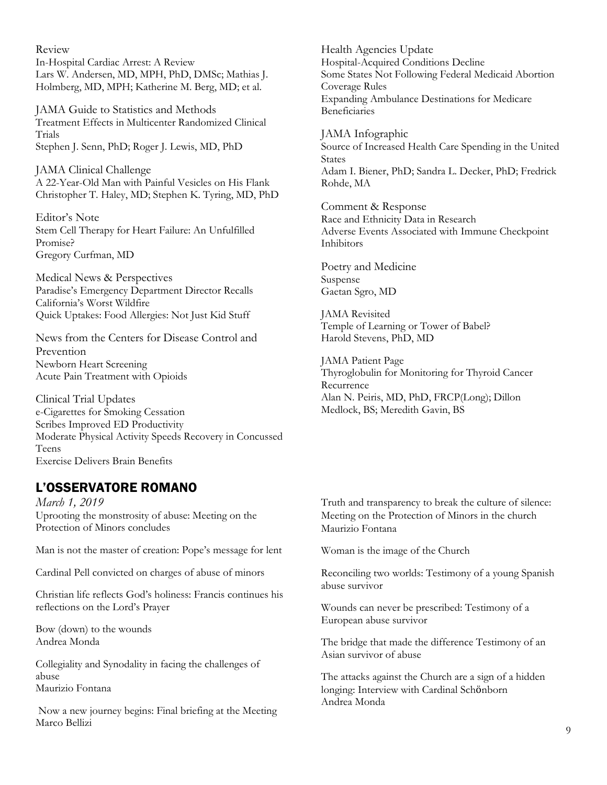Review In-Hospital Cardiac Arrest: A Review Lars W. Andersen, MD, MPH, PhD, DMSc; Mathias J. Holmberg, MD, MPH; Katherine M. Berg, MD; et al.

JAMA Guide to Statistics and Methods Treatment Effects in Multicenter Randomized Clinical Trials Stephen J. Senn, PhD; Roger J. Lewis, MD, PhD

JAMA Clinical Challenge A 22-Year-Old Man with Painful Vesicles on His Flank Christopher T. Haley, MD; Stephen K. Tyring, MD, PhD

Editor's Note Stem Cell Therapy for Heart Failure: An Unfulfilled Promise? Gregory Curfman, MD

Medical News & Perspectives Paradise's Emergency Department Director Recalls California's Worst Wildfire Quick Uptakes: Food Allergies: Not Just Kid Stuff

News from the Centers for Disease Control and Prevention Newborn Heart Screening Acute Pain Treatment with Opioids

Clinical Trial Updates e-Cigarettes for Smoking Cessation Scribes Improved ED Productivity Moderate Physical Activity Speeds Recovery in Concussed Teens Exercise Delivers Brain Benefits

## L'OSSERVATORE ROMANO

*March 1, 2019*  Uprooting the monstrosity of abuse: Meeting on the Protection of Minors concludes

Man is not the master of creation: Pope's message for lent

Cardinal Pell convicted on charges of abuse of minors

Christian life reflects God's holiness: Francis continues his reflections on the Lord's Prayer

Bow (down) to the wounds Andrea Monda

Collegiality and Synodality in facing the challenges of abuse Maurizio Fontana

Now a new journey begins: Final briefing at the Meeting Marco Bellizi

Health Agencies Update Hospital-Acquired Conditions Decline Some States Not Following Federal Medicaid Abortion Coverage Rules Expanding Ambulance Destinations for Medicare Beneficiaries

JAMA Infographic Source of Increased Health Care Spending in the United States Adam I. Biener, PhD; Sandra L. Decker, PhD; Fredrick Rohde, MA

Comment & Response Race and Ethnicity Data in Research Adverse Events Associated with Immune Checkpoint Inhibitors

Poetry and Medicine Suspense Gaetan Sgro, MD

JAMA Revisited Temple of Learning or Tower of Babel? Harold Stevens, PhD, MD

JAMA Patient Page Thyroglobulin for Monitoring for Thyroid Cancer Recurrence Alan N. Peiris, MD, PhD, FRCP(Long); Dillon Medlock, BS; Meredith Gavin, BS

Truth and transparency to break the culture of silence: Meeting on the Protection of Minors in the church Maurizio Fontana

Woman is the image of the Church

Reconciling two worlds: Testimony of a young Spanish abuse survivor

Wounds can never be prescribed: Testimony of a European abuse survivor

The bridge that made the difference Testimony of an Asian survivor of abuse

The attacks against the Church are a sign of a hidden longing: Interview with Cardinal Schönborn Andrea Monda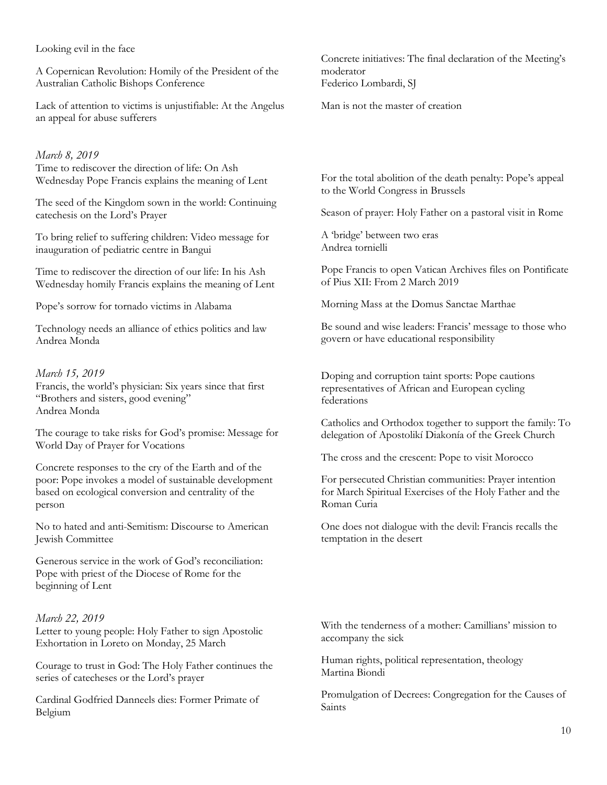Looking evil in the face

A Copernican Revolution: Homily of the President of the Australian Catholic Bishops Conference

Lack of attention to victims is unjustifiable: At the Angelus an appeal for abuse sufferers

#### *March 8, 2019*

Time to rediscover the direction of life: On Ash Wednesday Pope Francis explains the meaning of Lent

The seed of the Kingdom sown in the world: Continuing catechesis on the Lord's Prayer

To bring relief to suffering children: Video message for inauguration of pediatric centre in Bangui

Time to rediscover the direction of our life: In his Ash Wednesday homily Francis explains the meaning of Lent

Pope's sorrow for tornado victims in Alabama

Technology needs an alliance of ethics politics and law Andrea Monda

#### *March 15, 2019*

Francis, the world's physician: Six years since that first "Brothers and sisters, good evening" Andrea Monda

The courage to take risks for God's promise: Message for World Day of Prayer for Vocations

Concrete responses to the cry of the Earth and of the poor: Pope invokes a model of sustainable development based on ecological conversion and centrality of the person

No to hated and anti-Semitism: Discourse to American Jewish Committee

Generous service in the work of God's reconciliation: Pope with priest of the Diocese of Rome for the beginning of Lent

#### *March 22, 2019*

Letter to young people: Holy Father to sign Apostolic Exhortation in Loreto on Monday, 25 March

Courage to trust in God: The Holy Father continues the series of catecheses or the Lord's prayer

Cardinal Godfried Danneels dies: Former Primate of Belgium

Concrete initiatives: The final declaration of the Meeting's moderator Federico Lombardi, SJ

Man is not the master of creation

For the total abolition of the death penalty: Pope's appeal to the World Congress in Brussels

Season of prayer: Holy Father on a pastoral visit in Rome

A 'bridge' between two eras Andrea tornielli

Pope Francis to open Vatican Archives files on Pontificate of Pius XII: From 2 March 2019

Morning Mass at the Domus Sanctae Marthae

Be sound and wise leaders: Francis' message to those who govern or have educational responsibility

Doping and corruption taint sports: Pope cautions representatives of African and European cycling federations

Catholics and Orthodox together to support the family: To delegation of Apostolikí Diakonía of the Greek Church

The cross and the crescent: Pope to visit Morocco

For persecuted Christian communities: Prayer intention for March Spiritual Exercises of the Holy Father and the Roman Curia

One does not dialogue with the devil: Francis recalls the temptation in the desert

With the tenderness of a mother: Camillians' mission to accompany the sick

Human rights, political representation, theology Martina Biondi

Promulgation of Decrees: Congregation for the Causes of Saints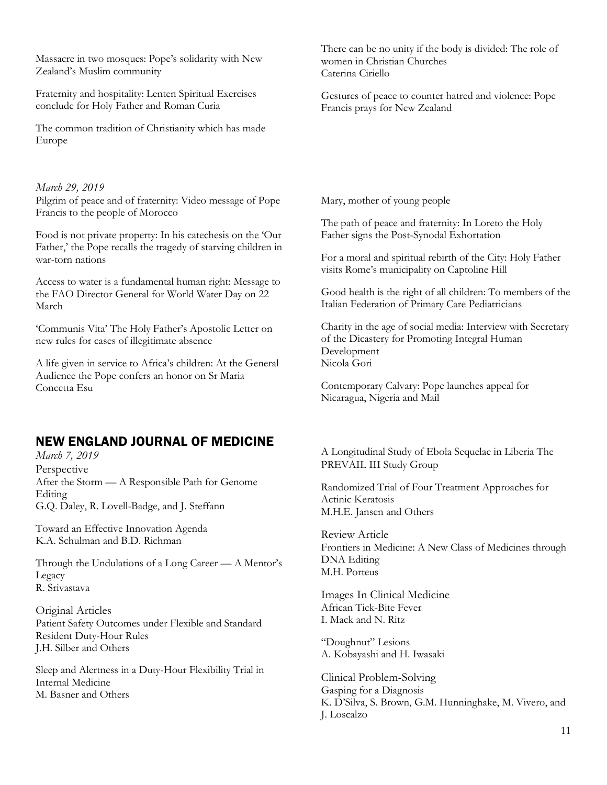Massacre in two mosques: Pope's solidarity with New Zealand's Muslim community

Fraternity and hospitality: Lenten Spiritual Exercises conclude for Holy Father and Roman Curia

The common tradition of Christianity which has made Europe

*March 29, 2019*  Pilgrim of peace and of fraternity: Video message of Pope Francis to the people of Morocco

Food is not private property: In his catechesis on the 'Our Father,' the Pope recalls the tragedy of starving children in war-torn nations

Access to water is a fundamental human right: Message to the FAO Director General for World Water Day on 22 March

'Communis Vita' The Holy Father's Apostolic Letter on new rules for cases of illegitimate absence

A life given in service to Africa's children: At the General Audience the Pope confers an honor on Sr Maria Concetta Esu

### NEW ENGLAND JOURNAL OF MEDICINE

*March 7, 2019*  Perspective After the Storm — A Responsible Path for Genome Editing G.Q. Daley, R. Lovell-Badge, and J. Steffann

Toward an Effective Innovation Agenda K.A. Schulman and B.D. Richman

Through the Undulations of a Long Career — A Mentor's Legacy R. Srivastava

Original Articles Patient Safety Outcomes under Flexible and Standard Resident Duty-Hour Rules J.H. Silber and Others

Sleep and Alertness in a Duty-Hour Flexibility Trial in Internal Medicine M. Basner and Others

There can be no unity if the body is divided: The role of women in Christian Churches Caterina Ciriello

Gestures of peace to counter hatred and violence: Pope Francis prays for New Zealand

Mary, mother of young people

The path of peace and fraternity: In Loreto the Holy Father signs the Post-Synodal Exhortation

For a moral and spiritual rebirth of the City: Holy Father visits Rome's municipality on Captoline Hill

Good health is the right of all children: To members of the Italian Federation of Primary Care Pediatricians

Charity in the age of social media: Interview with Secretary of the Dicastery for Promoting Integral Human Development Nicola Gori

Contemporary Calvary: Pope launches appeal for Nicaragua, Nigeria and Mail

A Longitudinal Study of Ebola Sequelae in Liberia The PREVAIL III Study Group

Randomized Trial of Four Treatment Approaches for Actinic Keratosis M.H.E. Jansen and Others

Review Article Frontiers in Medicine: A New Class of Medicines through DNA Editing M.H. Porteus

Images In Clinical Medicine African Tick-Bite Fever I. Mack and N. Ritz

"Doughnut" Lesions A. Kobayashi and H. Iwasaki

Clinical Problem-Solving Gasping for a Diagnosis K. D'Silva, S. Brown, G.M. Hunninghake, M. Vivero, and J. Loscalzo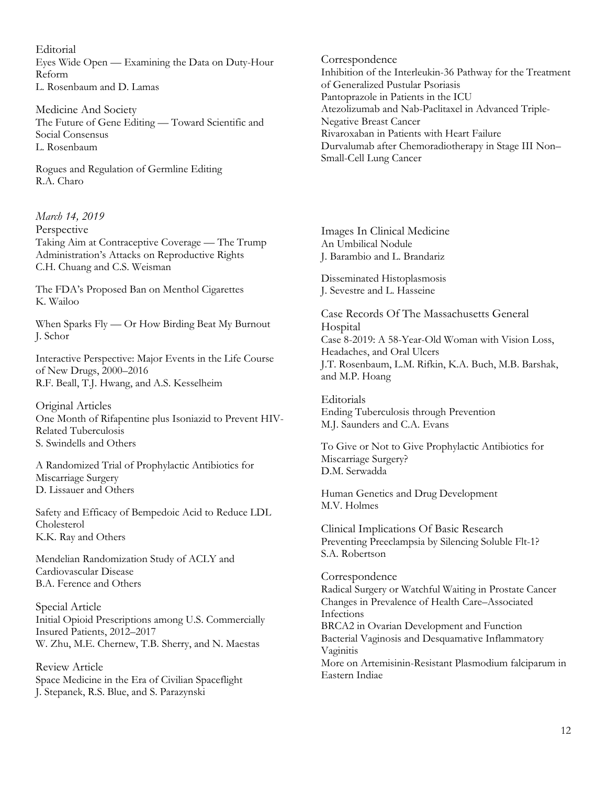Editorial Eyes Wide Open — Examining the Data on Duty-Hour Reform L. Rosenbaum and D. Lamas

Medicine And Society The Future of Gene Editing — Toward Scientific and Social Consensus L. Rosenbaum

Rogues and Regulation of Germline Editing R.A. Charo

*March 14, 2019*  Perspective Taking Aim at Contraceptive Coverage — The Trump Administration's Attacks on Reproductive Rights C.H. Chuang and C.S. Weisman

The FDA's Proposed Ban on Menthol Cigarettes K. Wailoo

When Sparks Fly — Or How Birding Beat My Burnout J. Schor

Interactive Perspective: Major Events in the Life Course of New Drugs, 2000–2016 R.F. Beall, T.J. Hwang, and A.S. Kesselheim

Original Articles One Month of Rifapentine plus Isoniazid to Prevent HIV-Related Tuberculosis S. Swindells and Others

A Randomized Trial of Prophylactic Antibiotics for Miscarriage Surgery D. Lissauer and Others

Safety and Efficacy of Bempedoic Acid to Reduce LDL Cholesterol K.K. Ray and Others

Mendelian Randomization Study of ACLY and Cardiovascular Disease B.A. Ference and Others

Special Article Initial Opioid Prescriptions among U.S. Commercially Insured Patients, 2012–2017 W. Zhu, M.E. Chernew, T.B. Sherry, and N. Maestas

Review Article Space Medicine in the Era of Civilian Spaceflight J. Stepanek, R.S. Blue, and S. Parazynski

Correspondence Inhibition of the Interleukin-36 Pathway for the Treatment of Generalized Pustular Psoriasis Pantoprazole in Patients in the ICU Atezolizumab and Nab-Paclitaxel in Advanced Triple-Negative Breast Cancer Rivaroxaban in Patients with Heart Failure Durvalumab after Chemoradiotherapy in Stage III Non– Small-Cell Lung Cancer

Images In Clinical Medicine An Umbilical Nodule J. Barambio and L. Brandariz

Disseminated Histoplasmosis J. Sevestre and L. Hasseine

Case Records Of The Massachusetts General Hospital Case 8-2019: A 58-Year-Old Woman with Vision Loss, Headaches, and Oral Ulcers J.T. Rosenbaum, L.M. Rifkin, K.A. Buch, M.B. Barshak, and M.P. Hoang

Editorials Ending Tuberculosis through Prevention M.J. Saunders and C.A. Evans

To Give or Not to Give Prophylactic Antibiotics for Miscarriage Surgery? D.M. Serwadda

Human Genetics and Drug Development M.V. Holmes

Clinical Implications Of Basic Research Preventing Preeclampsia by Silencing Soluble Flt-1? S.A. Robertson

Correspondence Radical Surgery or Watchful Waiting in Prostate Cancer Changes in Prevalence of Health Care–Associated Infections BRCA2 in Ovarian Development and Function Bacterial Vaginosis and Desquamative Inflammatory Vaginitis More on Artemisinin-Resistant Plasmodium falciparum in Eastern Indiae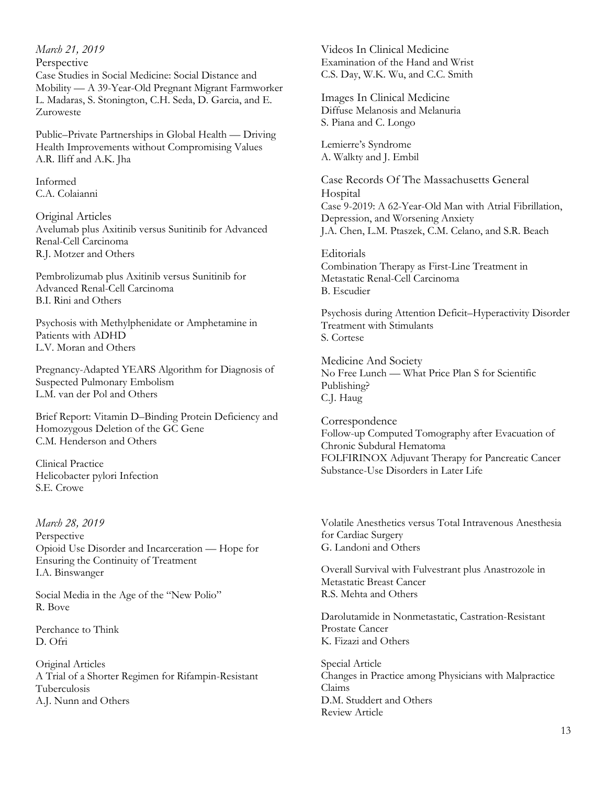*March 21, 2019*  Perspective Case Studies in Social Medicine: Social Distance and Mobility — A 39-Year-Old Pregnant Migrant Farmworker L. Madaras, S. Stonington, C.H. Seda, D. Garcia, and E. Zuroweste

Public–Private Partnerships in Global Health — Driving Health Improvements without Compromising Values A.R. Iliff and A.K. Jha

Informed C.A. Colaianni

Original Articles Avelumab plus Axitinib versus Sunitinib for Advanced Renal-Cell Carcinoma R.J. Motzer and Others

Pembrolizumab plus Axitinib versus Sunitinib for Advanced Renal-Cell Carcinoma B.I. Rini and Others

Psychosis with Methylphenidate or Amphetamine in Patients with ADHD L.V. Moran and Others

Pregnancy-Adapted YEARS Algorithm for Diagnosis of Suspected Pulmonary Embolism L.M. van der Pol and Others

Brief Report: Vitamin D–Binding Protein Deficiency and Homozygous Deletion of the GC Gene C.M. Henderson and Others

Clinical Practice Helicobacter pylori Infection S.E. Crowe

*March 28, 2019*  Perspective Opioid Use Disorder and Incarceration — Hope for Ensuring the Continuity of Treatment I.A. Binswanger

Social Media in the Age of the "New Polio" R. Bove

Perchance to Think D. Ofri

Original Articles A Trial of a Shorter Regimen for Rifampin-Resistant Tuberculosis A.J. Nunn and Others

Videos In Clinical Medicine Examination of the Hand and Wrist C.S. Day, W.K. Wu, and C.C. Smith

Images In Clinical Medicine Diffuse Melanosis and Melanuria S. Piana and C. Longo

Lemierre's Syndrome A. Walkty and J. Embil

Case Records Of The Massachusetts General Hospital Case 9-2019: A 62-Year-Old Man with Atrial Fibrillation, Depression, and Worsening Anxiety J.A. Chen, L.M. Ptaszek, C.M. Celano, and S.R. Beach

**Editorials** Combination Therapy as First-Line Treatment in Metastatic Renal-Cell Carcinoma B. Escudier

Psychosis during Attention Deficit–Hyperactivity Disorder Treatment with Stimulants S. Cortese

Medicine And Society No Free Lunch — What Price Plan S for Scientific Publishing? C.J. Haug

Correspondence Follow-up Computed Tomography after Evacuation of Chronic Subdural Hematoma FOLFIRINOX Adjuvant Therapy for Pancreatic Cancer Substance-Use Disorders in Later Life

Volatile Anesthetics versus Total Intravenous Anesthesia for Cardiac Surgery G. Landoni and Others

Overall Survival with Fulvestrant plus Anastrozole in Metastatic Breast Cancer R.S. Mehta and Others

Darolutamide in Nonmetastatic, Castration-Resistant Prostate Cancer K. Fizazi and Others

Special Article Changes in Practice among Physicians with Malpractice Claims D.M. Studdert and Others Review Article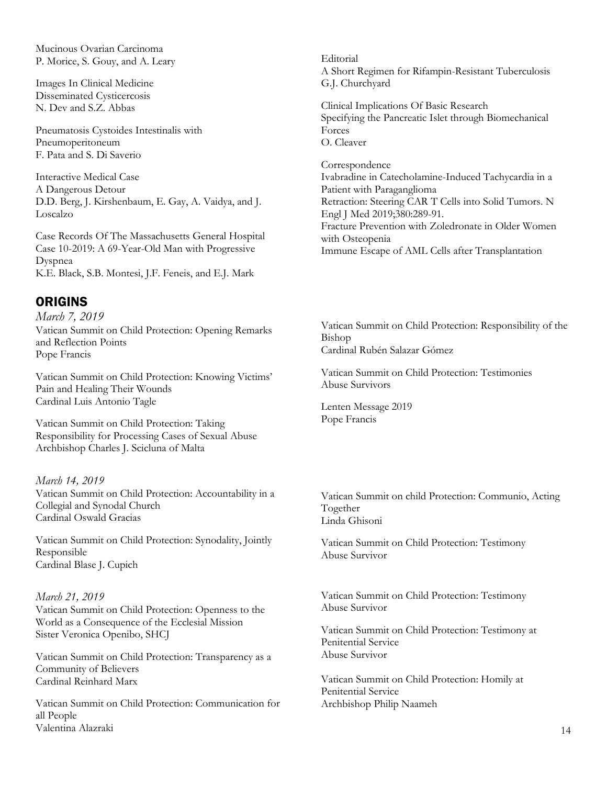Mucinous Ovarian Carcinoma P. Morice, S. Gouy, and A. Leary

Images In Clinical Medicine Disseminated Cysticercosis N. Dev and S.Z. Abbas

Pneumatosis Cystoides Intestinalis with Pneumoperitoneum F. Pata and S. Di Saverio

Interactive Medical Case A Dangerous Detour D.D. Berg, J. Kirshenbaum, E. Gay, A. Vaidya, and J. Loscalzo

Case Records Of The Massachusetts General Hospital Case 10-2019: A 69-Year-Old Man with Progressive Dyspnea K.E. Black, S.B. Montesi, J.F. Feneis, and E.J. Mark

## ORIGINS

*March 7, 2019*  Vatican Summit on Child Protection: Opening Remarks and Reflection Points Pope Francis

Vatican Summit on Child Protection: Knowing Victims' Pain and Healing Their Wounds Cardinal Luis Antonio Tagle

Vatican Summit on Child Protection: Taking Responsibility for Processing Cases of Sexual Abuse Archbishop Charles J. Scicluna of Malta

#### *March 14, 2019*

Vatican Summit on Child Protection: Accountability in a Collegial and Synodal Church Cardinal Oswald Gracias

Vatican Summit on Child Protection: Synodality, Jointly Responsible Cardinal Blase J. Cupich

#### *March 21, 2019*

Vatican Summit on Child Protection: Openness to the World as a Consequence of the Ecclesial Mission Sister Veronica Openibo, SHCJ

Vatican Summit on Child Protection: Transparency as a Community of Believers Cardinal Reinhard Marx

Vatican Summit on Child Protection: Communication for all People Valentina Alazraki

Editorial A Short Regimen for Rifampin-Resistant Tuberculosis G.J. Churchyard

Clinical Implications Of Basic Research Specifying the Pancreatic Islet through Biomechanical Forces O. Cleaver

Correspondence Ivabradine in Catecholamine-Induced Tachycardia in a Patient with Paraganglioma Retraction: Steering CAR T Cells into Solid Tumors. N Engl J Med 2019;380:289-91. Fracture Prevention with Zoledronate in Older Women with Osteopenia

Immune Escape of AML Cells after Transplantation

Vatican Summit on Child Protection: Responsibility of the Bishop Cardinal Rubén Salazar Gómez

Vatican Summit on Child Protection: Testimonies Abuse Survivors

Lenten Message 2019 Pope Francis

Vatican Summit on child Protection: Communio, Acting Together Linda Ghisoni

Vatican Summit on Child Protection: Testimony Abuse Survivor

Vatican Summit on Child Protection: Testimony Abuse Survivor

Vatican Summit on Child Protection: Testimony at Penitential Service Abuse Survivor

Vatican Summit on Child Protection: Homily at Penitential Service Archbishop Philip Naameh